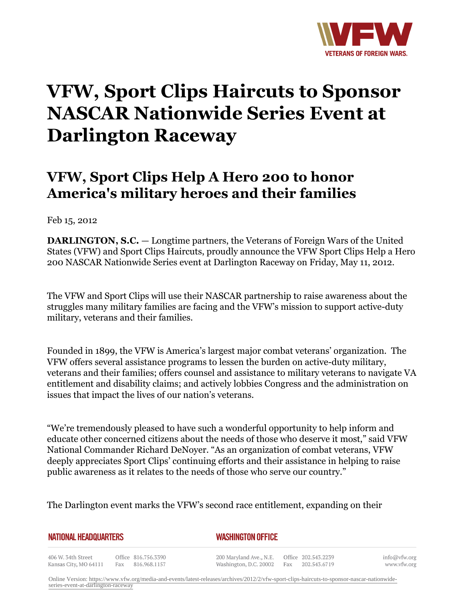

## **VFW, Sport Clips Haircuts to Sponsor NASCAR Nationwide Series Event at Darlington Raceway**

## **VFW, Sport Clips Help A Hero 200 to honor America's military heroes and their families**

Feb 15, 2012

**DARLINGTON, S.C.** — Longtime partners, the Veterans of Foreign Wars of the United States (VFW) and Sport Clips Haircuts, proudly announce the VFW Sport Clips Help a Hero 200 NASCAR Nationwide Series event at Darlington Raceway on Friday, May 11, 2012.

The VFW and Sport Clips will use their NASCAR partnership to raise awareness about the struggles many military families are facing and the VFW's mission to support active-duty military, veterans and their families.

Founded in 1899, the VFW is America's largest major combat veterans' organization. The VFW offers several assistance programs to lessen the burden on active-duty military, veterans and their families; offers counsel and assistance to military veterans to navigate VA entitlement and disability claims; and actively lobbies Congress and the administration on issues that impact the lives of our nation's veterans.

"We're tremendously pleased to have such a wonderful opportunity to help inform and educate other concerned citizens about the needs of those who deserve it most," said VFW National Commander Richard DeNoyer. "As an organization of combat veterans, VFW deeply appreciates Sport Clips' continuing efforts and their assistance in helping to raise public awareness as it relates to the needs of those who serve our country."

The Darlington event marks the VFW's second race entitlement, expanding on their

| NATIONAL HEADQUARTERS                       |  |                                         | <b>WASHINGTON OFFICE</b> |                                                                                        |  |  |  |
|---------------------------------------------|--|-----------------------------------------|--------------------------|----------------------------------------------------------------------------------------|--|--|--|
| 406 W. 34th Street<br>Kansas City, MO 64111 |  | Office 816.756.3390<br>Fax 816.968.1157 |                          | 200 Maryland Ave., N.E. Office 202.543.2239<br>Washington, D.C. 20002 Fax 202.543.6719 |  |  |  |

info@vfw.org www.vfw.org

Online Version: [https://www.vfw.org/media-and-events/latest-releases/archives/2012/2/vfw-sport-clips-haircuts-to-sponsor-nascar-nationwide](https://www.vfw.org/media-and-events/latest-releases/archives/2012/2/vfw-sport-clips-haircuts-to-sponsor-nascar-nationwide-series-event-at-darlington-raceway)[series-event-at-darlington-raceway](https://www.vfw.org/media-and-events/latest-releases/archives/2012/2/vfw-sport-clips-haircuts-to-sponsor-nascar-nationwide-series-event-at-darlington-raceway)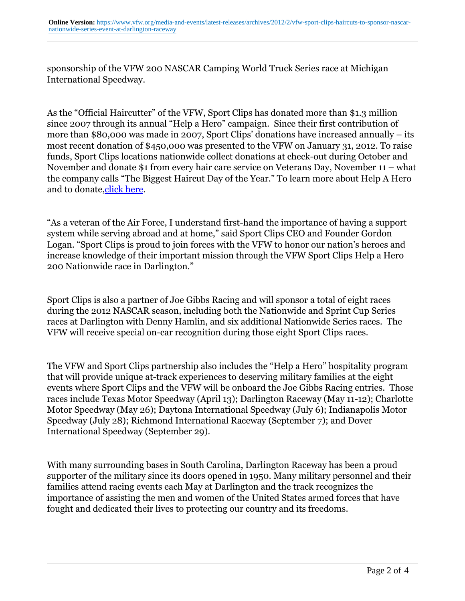sponsorship of the VFW 200 NASCAR Camping World Truck Series race at Michigan International Speedway.

As the "Official Haircutter" of the VFW, Sport Clips has donated more than \$1.3 million since 2007 through its annual "Help a Hero" campaign. Since their first contribution of more than \$80,000 was made in 2007, Sport Clips' donations have increased annually – its most recent donation of \$450,000 was presented to the VFW on January 31, 2012. To raise funds, Sport Clips locations nationwide collect donations at check-out during October and November and donate \$1 from every hair care service on Veterans Day, November 11 – what the company calls "The Biggest Haircut Day of the Year." To learn more about Help A Hero and to donate, click here.

"As a veteran of the Air Force, I understand first-hand the importance of having a support system while serving abroad and at home," said Sport Clips CEO and Founder Gordon Logan. "Sport Clips is proud to join forces with the VFW to honor our nation's heroes and increase knowledge of their important mission through the VFW Sport Clips Help a Hero 200 Nationwide race in Darlington."

Sport Clips is also a partner of Joe Gibbs Racing and will sponsor a total of eight races during the 2012 NASCAR season, including both the Nationwide and Sprint Cup Series races at Darlington with Denny Hamlin, and six additional Nationwide Series races. The VFW will receive special on-car recognition during those eight Sport Clips races.

The VFW and Sport Clips partnership also includes the "Help a Hero" hospitality program that will provide unique at-track experiences to deserving military families at the eight events where Sport Clips and the VFW will be onboard the Joe Gibbs Racing entries. Those races include Texas Motor Speedway (April 13); Darlington Raceway (May 11-12); Charlotte Motor Speedway (May 26); Daytona International Speedway (July 6); Indianapolis Motor Speedway (July 28); Richmond International Raceway (September 7); and Dover International Speedway (September 29).

With many surrounding bases in South Carolina, Darlington Raceway has been a proud supporter of the military since its doors opened in 1950. Many military personnel and their families attend racing events each May at Darlington and the track recognizes the importance of assisting the men and women of the United States armed forces that have fought and dedicated their lives to protecting our country and its freedoms.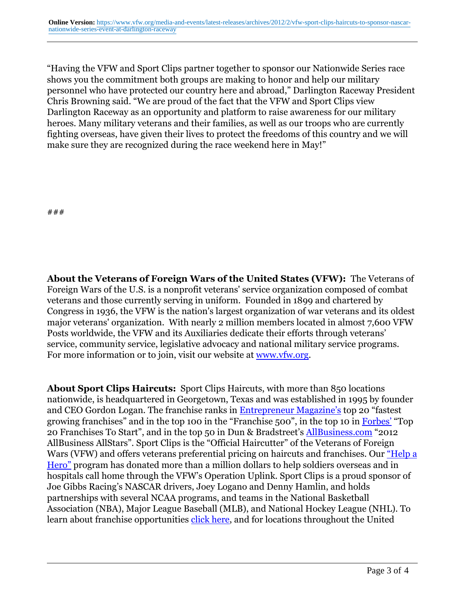"Having the VFW and Sport Clips partner together to sponsor our Nationwide Series race shows you the commitment both groups are making to honor and help our military personnel who have protected our country here and abroad," Darlington Raceway President Chris Browning said. "We are proud of the fact that the VFW and Sport Clips view Darlington Raceway as an opportunity and platform to raise awareness for our military heroes. Many military veterans and their families, as well as our troops who are currently fighting overseas, have given their lives to protect the freedoms of this country and we will make sure they are recognized during the race weekend here in May!"

###

**About the Veterans of Foreign Wars of the United States (VFW):** The Veterans of Foreign Wars of the U.S. is a nonprofit veterans' service organization composed of combat veterans and those currently serving in uniform. Founded in 1899 and chartered by Congress in 1936, the VFW is the nation's largest organization of war veterans and its oldest major veterans' organization. With nearly 2 million members located in almost 7,600 VFW Posts worldwide, the VFW and its Auxiliaries dedicate their efforts through veterans' service, community service, legislative advocacy and national military service programs. For more information or to join, visit our website at [www.vfw.org.](http://www.vfw.org/)

**About Sport Clips Haircuts:** Sport Clips Haircuts, with more than 850 locations nationwide, is headquartered in Georgetown, Texas and was established in 1995 by founder and CEO Gordon Logan. The franchise ranks in [Entrepreneur Magazine's](http:http://www.entrepreneur.com/magazine/) top 20 "fastest growing franchises" and in the top 100 in the "Franchise 500", in the top 10 in [Forbes'](http:http://www.forbes.com/) "Top 20 Franchises To Start", and in the top 50 in Dun & Bradstreet's [AllBusiness.com](http:http://allbusiness.com/) "2012 AllBusiness AllStars". Sport Clips is the "Official Haircutter" of the Veterans of Foreign Wars (VFW) and offers veterans preferential pricing on haircuts and franchises. Our ["Help a](http:http://www.sportclips.com/cm/events-promotions/help-a-hero.html) [Hero"](http:http://www.sportclips.com/cm/events-promotions/help-a-hero.html) program has donated more than a million dollars to help soldiers overseas and in hospitals call home through the VFW's Operation Uplink. Sport Clips is a proud sponsor of Joe Gibbs Racing's NASCAR drivers, Joey Logano and Denny Hamlin, and holds partnerships with several NCAA programs, and teams in the National Basketball Association (NBA), Major League Baseball (MLB), and National Hockey League (NHL). To learn about franchise opportunities [click here](http:http://www.sportclipsfranchise.com/), and for locations throughout the United